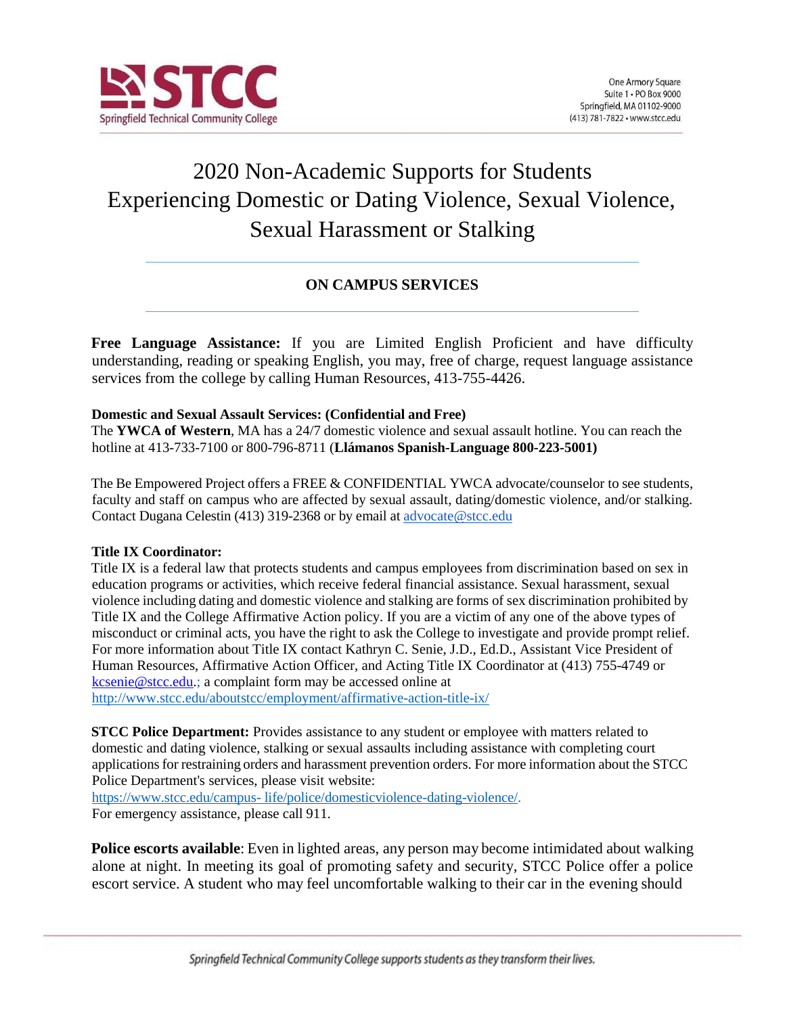

# 2020 Non-Academic Supports for Students Experiencing Domestic or Dating Violence, Sexual Violence, Sexual Harassment or Stalking

# **ON CAMPUS SERVICES**

**Free Language Assistance:** If you are Limited English Proficient and have difficulty understanding, reading or speaking English, you may, free of charge, request language assistance services from the college by calling Human Resources, 413-755-4426.

### **Domestic and Sexual Assault Services: (Confidential and Free)**

The **YWCA of Western**, MA has a 24/7 domestic violence and sexual assault hotline. You can reach the hotline at 413-733-7100 or 800-796-8711 (**Llámanos Spanish-Language 800-223-5001)**

The Be Empowered Project offers a FREE & CONFIDENTIAL YWCA advocate/counselor to see students, faculty and staff on campus who are affected by sexual assault, dating/domestic violence, and/or stalking. Contact Dugana Celestin (413) 319-2368 or by email at [advocate@stcc.edu](mailto:advocate@stcc.edu)

### **Title IX Coordinator:**

Title IX is a federal law that protects students and campus employees from discrimination based on sex in education programs or activities, which receive federal financial assistance. Sexual harassment, sexual violence including dating and domestic violence and stalking are forms of sex discrimination prohibited by Title IX and the College Affirmative Action policy. If you are a victim of any one of the above types of misconduct or criminal acts, you have the right to ask the College to investigate and provide prompt relief. For more information about Title IX contact Kathryn C. Senie, J.D., Ed.D., Assistant Vice President of Human Resources, Affirmative Action Officer, and Acting Title IX Coordinator at (413) 755-4749 or [kcsenie@stcc.edu.](mailto:kcsenie@stcc.edu); a complaint form may be accessed online at [http://www.stcc.edu/aboutstcc/employment/affirmative-action-title-ix/](http://www.stcc.edu/about-stcc/employment/affirmative-action--title-ix/)

**STCC Police Department:** Provides assistance to any student or employee with matters related to domestic and dating violence, stalking or sexual assaults including assistance with completing court applicationsfor restraining orders and harassment prevention orders. For more information about the STCC Police Department's services, please visit website:

[https://www.stcc.edu/campus-](https://www.stcc.edu/campus-life/police/domestic-violence--dating-violence/) [life/police/domesticviolence-dating-](https://www.stcc.edu/campus-life/police/domestic-violence--dating-violence/)[violence/.](https://www.stcc.edu/campus-life/police/domestic-violence-dating-violence/)

For emergency assistance, please call 911.

**Police escorts available**: Even in lighted areas, any person may become intimidated about walking alone at night. In meeting its goal of promoting safety and security, STCC Police offer a police escort service. A student who may feel uncomfortable walking to their car in the evening should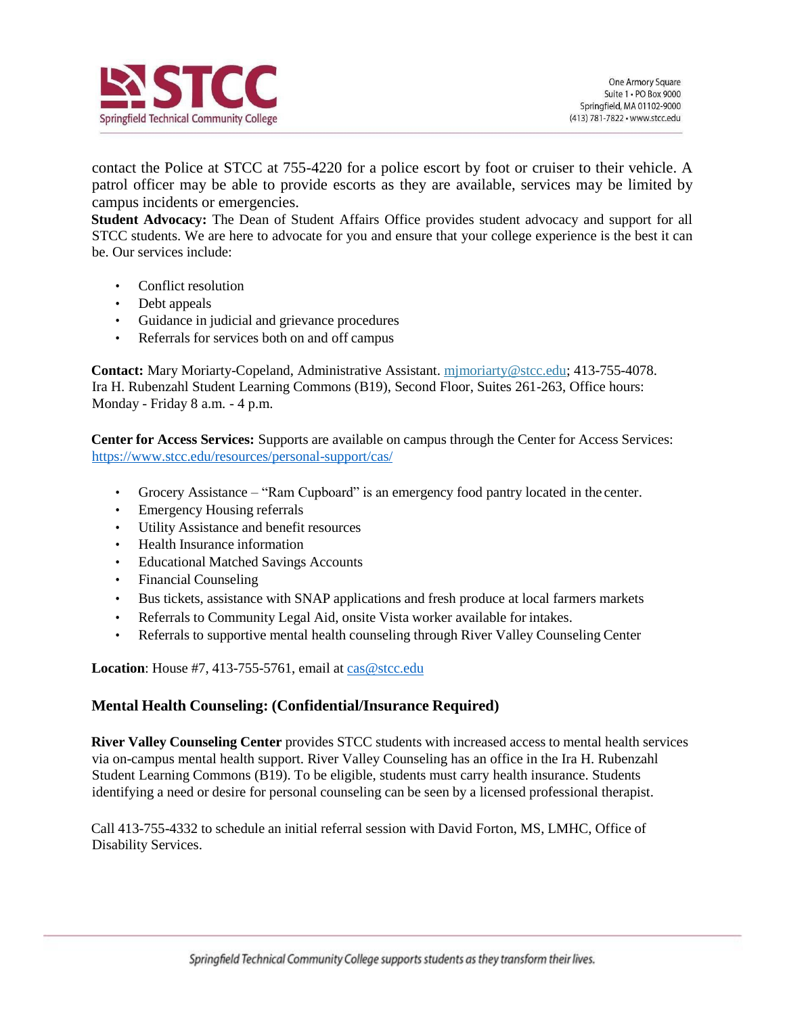

contact the Police at STCC at 755-4220 for a police escort by foot or cruiser to their vehicle. A patrol officer may be able to provide escorts as they are available, services may be limited by campus incidents or emergencies.

**Student Advocacy:** The Dean of Student Affairs Office provides student advocacy and support for all STCC students. We are here to advocate for you and ensure that your college experience is the best it can be. Our services include:

- Conflict resolution
- Debt appeals
- Guidance in judicial and grievance procedures
- Referrals for services both on and off campus

**Contact:** Mary Moriarty-Copeland, Administrative Assistant. mjmoriarty@stcc.edu; 413-755-4078. Ira H. Rubenzahl Student Learning Commons (B19), Second Floor, Suites 261-263, Office hours: Monday - Friday 8 a.m. - 4 p.m.

**Center for Access Services:** Supports are available on campus through the Center for Access Services: <https://www.stcc.edu/resources/personal-support/cas/>

- Grocery Assistance "Ram Cupboard" is an emergency food pantry located in the center.
- Emergency Housing referrals
- Utility Assistance and benefit resources
- Health Insurance information
- Educational Matched Savings Accounts
- Financial Counseling
- Bus tickets, assistance with SNAP applications and fresh produce at local farmers markets
- Referrals to Community Legal Aid, onsite Vista worker available for intakes.
- Referrals to supportive mental health counseling through River Valley Counseling Center

Location: House #7, 413-755-5761, email at [cas@stcc.edu](mailto:cas@stcc.edu)

### **Mental Health Counseling: (Confidential/Insurance Required)**

**River Valley Counseling Center** provides STCC students with increased access to mental health services via on-campus mental health support. River Valley Counseling has an office in the Ira H. Rubenzahl Student Learning Commons (B19). To be eligible, students must carry health insurance. Students identifying a need or desire for personal counseling can be seen by a licensed professional therapist.

Call 413-755-4332 to schedule an initial referral session with David Forton, MS, LMHC, Office of Disability Services.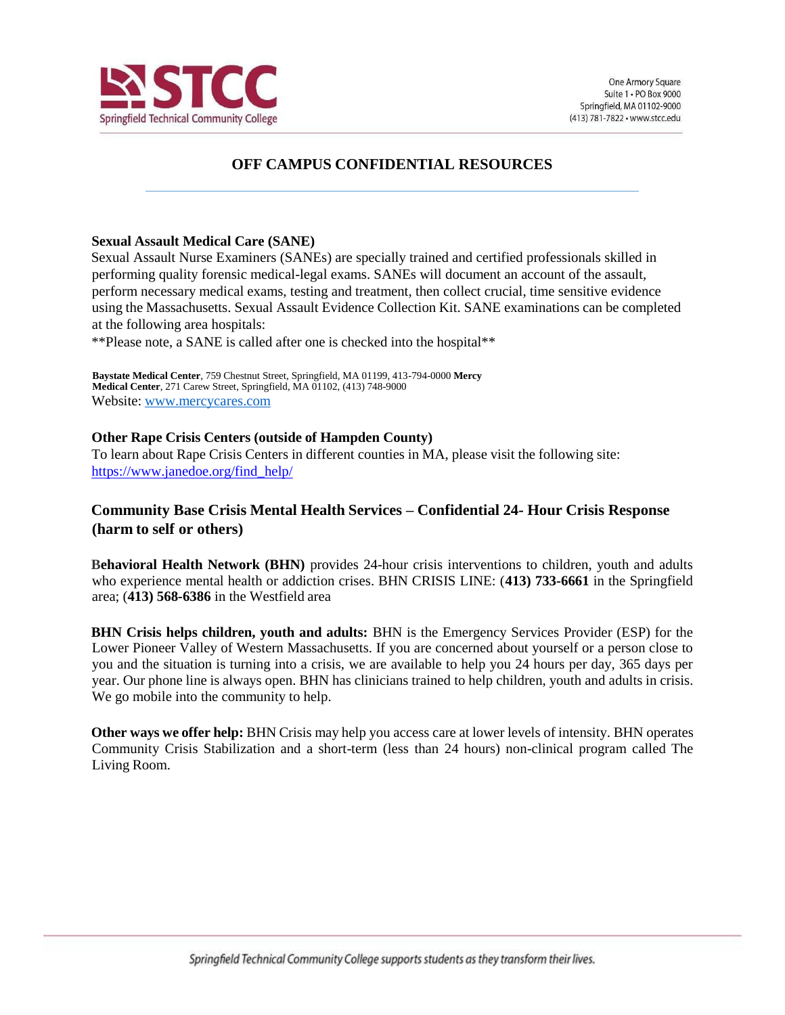

# **OFF CAMPUS CONFIDENTIAL RESOURCES**

#### **Sexual Assault Medical Care (SANE)**

Sexual Assault Nurse Examiners (SANEs) are specially trained and certified professionals skilled in performing quality forensic medical-legal exams. SANEs will document an account of the assault, perform necessary medical exams, testing and treatment, then collect crucial, time sensitive evidence using the Massachusetts. Sexual Assault Evidence Collection Kit. SANE examinations can be completed at the following area hospitals:

\*\*Please note, a SANE is called after one is checked into the hospital\*\*

**Baystate Medical Center**, 759 Chestnut Street, Springfield, MA 01199, 413-794-0000 **Mercy Medical Center**, 271 Carew Street, Springfield, MA 01102, (413) 748-9000 Website: [www.mercycares.com](http://www.mercycares.com/)

### **Other Rape Crisis Centers (outside of Hampden County)**

To learn about Rape Crisis Centers in different counties in MA, please visit the following site: [https://www.janedoe.org/find\\_help/](https://www.janedoe.org/find_help/)

## **Community Base Crisis Mental Health Services – Confidential 24- Hour Crisis Response (harm to self or others)**

**Behavioral Health Network (BHN)** provides 24-hour crisis interventions to children, youth and adults who experience mental health or addiction crises. BHN CRISIS LINE: (**413) 733-6661** in the Springfield area; (**413) 568-6386** in the Westfield area

**BHN Crisis helps children, youth and adults:** BHN is the Emergency Services Provider (ESP) for the Lower Pioneer Valley of Western Massachusetts. If you are concerned about yourself or a person close to you and the situation is turning into a crisis, we are available to help you 24 hours per day, 365 days per year. Our phone line is always open. BHN has clinicians trained to help children, youth and adults in crisis. We go mobile into the community to help.

**Other ways we offer help:** BHN Crisis may help you access care at lower levels of intensity. BHN operates Community Crisis Stabilization and a short-term (less than 24 hours) non-clinical program called The Living Room.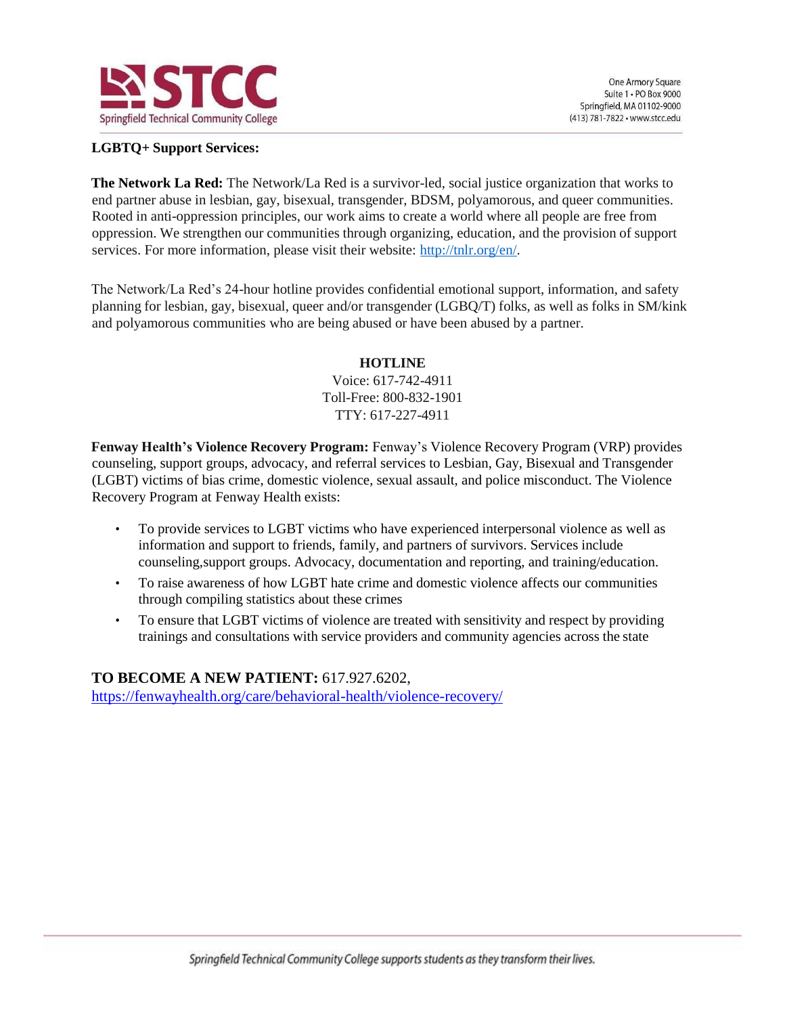

## **LGBTQ+ Support Services:**

**The Network La Red:** The Network/La Red is a survivor-led, social justice organization that works to end partner abuse in lesbian, gay, bisexual, transgender, BDSM, polyamorous, and queer communities. Rooted in anti-oppression principles, our work aims to create a world where all people are free from oppression. We strengthen our communities through organizing, education, and the provision of support services. For more information, please visit their website: [http://tnlr.org/en/.](http://tnlr.org/en/)

The Network/La Red's 24-hour hotline provides confidential emotional support, information, and safety planning for lesbian, gay, bisexual, queer and/or transgender (LGBQ/T) folks, as well as folks in SM/kink and polyamorous communities who are being abused or have been abused by a partner.

### **HOTLINE**

Voice: 617-742-4911 Toll-Free: 800-832-1901 TTY: 617-227-4911

**Fenway Health's Violence Recovery Program:** Fenway's Violence Recovery Program (VRP) provides counseling, support groups, advocacy, and referral services to Lesbian, Gay, Bisexual and Transgender (LGBT) victims of bias crime, domestic violence, sexual assault, and police misconduct. The Violence Recovery Program at Fenway Health exists:

- To provide services to LGBT victims who have experienced interpersonal violence as well as information and support to friends, family, and partners of survivors. Services include counseling,support groups. Advocacy, documentation and reporting, and training/education.
- To raise awareness of how LGBT hate crime and domestic violence affects our communities through compiling statistics about these crimes
- To ensure that LGBT victims of violence are treated with sensitivity and respect by providing trainings and consultations with service providers and community agencies across the state

**TO BECOME A NEW PATIENT:** 617.927.6202, <https://fenwayhealth.org/care/behavioral-health/violence-recovery/>